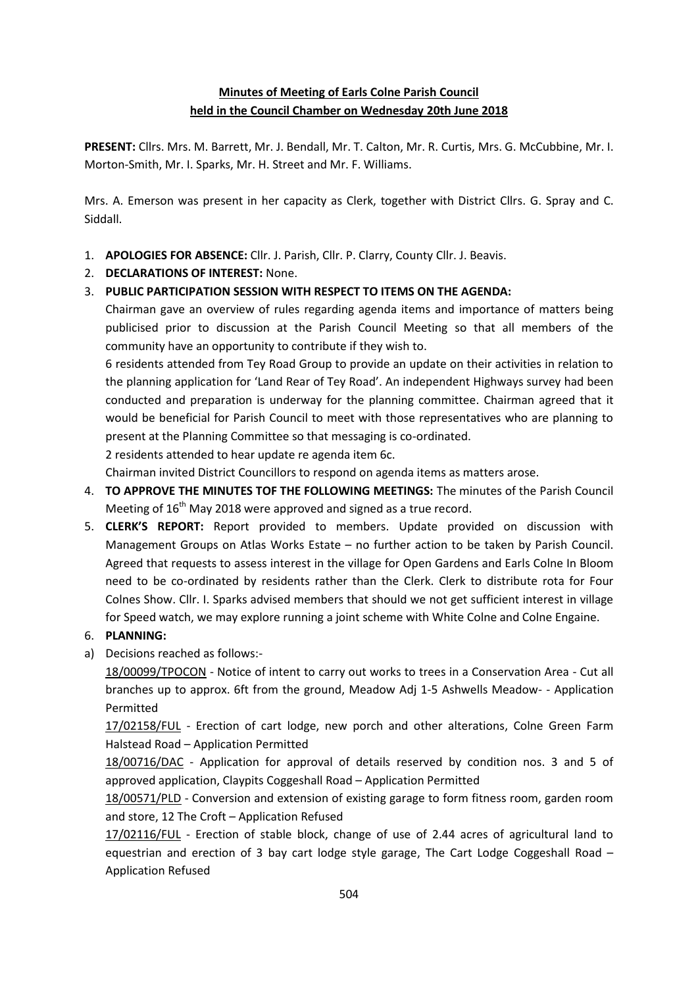## **Minutes of Meeting of Earls Colne Parish Council held in the Council Chamber on Wednesday 20th June 2018**

**PRESENT:** Cllrs. Mrs. M. Barrett, Mr. J. Bendall, Mr. T. Calton, Mr. R. Curtis, Mrs. G. McCubbine, Mr. I. Morton-Smith, Mr. I. Sparks, Mr. H. Street and Mr. F. Williams.

Mrs. A. Emerson was present in her capacity as Clerk, together with District Cllrs. G. Spray and C. Siddall.

- 1. **APOLOGIES FOR ABSENCE:** Cllr. J. Parish, Cllr. P. Clarry, County Cllr. J. Beavis.
- 2. **DECLARATIONS OF INTEREST:** None.
- 3. **PUBLIC PARTICIPATION SESSION WITH RESPECT TO ITEMS ON THE AGENDA:**

Chairman gave an overview of rules regarding agenda items and importance of matters being publicised prior to discussion at the Parish Council Meeting so that all members of the community have an opportunity to contribute if they wish to.

6 residents attended from Tey Road Group to provide an update on their activities in relation to the planning application for 'Land Rear of Tey Road'. An independent Highways survey had been conducted and preparation is underway for the planning committee. Chairman agreed that it would be beneficial for Parish Council to meet with those representatives who are planning to present at the Planning Committee so that messaging is co-ordinated.

2 residents attended to hear update re agenda item 6c.

Chairman invited District Councillors to respond on agenda items as matters arose.

- 4. **TO APPROVE THE MINUTES TOF THE FOLLOWING MEETINGS:** The minutes of the Parish Council Meeting of 16<sup>th</sup> May 2018 were approved and signed as a true record.
- 5. **CLERK'S REPORT:** Report provided to members. Update provided on discussion with Management Groups on Atlas Works Estate – no further action to be taken by Parish Council. Agreed that requests to assess interest in the village for Open Gardens and Earls Colne In Bloom need to be co-ordinated by residents rather than the Clerk. Clerk to distribute rota for Four Colnes Show. Cllr. I. Sparks advised members that should we not get sufficient interest in village for Speed watch, we may explore running a joint scheme with White Colne and Colne Engaine.

## 6. **PLANNING:**

a) Decisions reached as follows:-

18/00099/TPOCON - [Notice of intent to carry out works to trees in a Conservation Area -](https://publicaccess.braintree.gov.uk/online-applications/applicationDetails.do?keyVal=P710AQBF07E00&activeTab=summary) Cut all [branches up to approx. 6ft from the ground,](https://publicaccess.braintree.gov.uk/online-applications/applicationDetails.do?keyVal=P710AQBF07E00&activeTab=summary) Meadow Adj 1-5 Ashwells Meadow- - Application Permitted

17/02158/FUL - [Erection of cart lodge, new porch and other alterations,](https://publicaccess.braintree.gov.uk/online-applications/applicationDetails.do?keyVal=P08N7UBFFXU00&activeTab=summary) Colne Green Farm Halstead Road – Application Permitted

18/00716/DAC - [Application for approval of details reserved by condition nos. 3 and 5 of](https://publicaccess.braintree.gov.uk/online-applications/applicationDetails.do?keyVal=P7DVJ9BF00A00&activeTab=summary)  [approved application,](https://publicaccess.braintree.gov.uk/online-applications/applicationDetails.do?keyVal=P7DVJ9BF00A00&activeTab=summary) Claypits Coggeshall Road – Application Permitted

18/00571/PLD - [Conversion and extension of existing garage to form fitness room, garden room](https://publicaccess.braintree.gov.uk/online-applications/applicationDetails.do?keyVal=P68M51BFHRE00&activeTab=summary)  [and store,](https://publicaccess.braintree.gov.uk/online-applications/applicationDetails.do?keyVal=P68M51BFHRE00&activeTab=summary) 12 The Croft – Application Refused

17/02116/FUL - [Erection of stable block, change of use of 2.44 acres of agricultural land to](https://publicaccess.braintree.gov.uk/online-applications/applicationDetails.do?keyVal=P00M99BFFUP00&activeTab=summary)  [equestrian and erection of 3 bay cart lodge style garage,](https://publicaccess.braintree.gov.uk/online-applications/applicationDetails.do?keyVal=P00M99BFFUP00&activeTab=summary) The Cart Lodge Coggeshall Road – Application Refused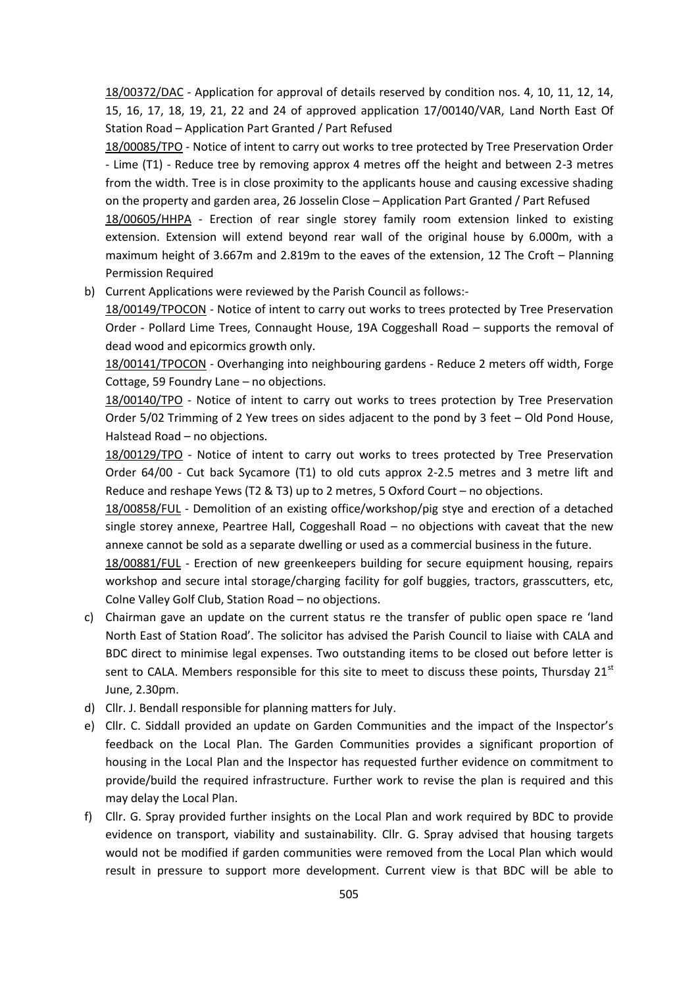18/00372/DAC - [Application for approval of details reserved by condition nos. 4, 10, 11, 12, 14,](https://publicaccess.braintree.gov.uk/online-applications/applicationDetails.do?keyVal=P4NAAVBFH9B00&activeTab=summary)  [15, 16, 17, 18, 19, 21, 22 and 24 of approved application 17/00140/VAR, L](https://publicaccess.braintree.gov.uk/online-applications/applicationDetails.do?keyVal=P4NAAVBFH9B00&activeTab=summary)and North East Of Station Road – Application Part Granted / Part Refused

18/00085/TPO - [Notice of intent to carry out works to tree protected by Tree Preservation Order](https://publicaccess.braintree.gov.uk/online-applications/applicationDetails.do?keyVal=P5ZFMYBFHOA00&activeTab=summary)  - Lime (T1) - [Reduce tree by removing approx 4 metres off the height and between 2-3 metres](https://publicaccess.braintree.gov.uk/online-applications/applicationDetails.do?keyVal=P5ZFMYBFHOA00&activeTab=summary)  [from the width. Tree is in close proximity to the applicants house and causing excessive shading](https://publicaccess.braintree.gov.uk/online-applications/applicationDetails.do?keyVal=P5ZFMYBFHOA00&activeTab=summary)  [on the property and garden area,](https://publicaccess.braintree.gov.uk/online-applications/applicationDetails.do?keyVal=P5ZFMYBFHOA00&activeTab=summary) 26 Josselin Close – Application Part Granted / Part Refused

18/00605/HHPA - [Erection of rear single storey family room extension linked to existing](https://publicaccess.braintree.gov.uk/online-applications/applicationDetails.do?keyVal=P6NKWRBF00A00&activeTab=summary)  [extension. Extension will extend beyond rear wall of the original house by 6.000m, with a](https://publicaccess.braintree.gov.uk/online-applications/applicationDetails.do?keyVal=P6NKWRBF00A00&activeTab=summary)  [maximum height of 3.667m and 2.819m to the eaves of the extension,](https://publicaccess.braintree.gov.uk/online-applications/applicationDetails.do?keyVal=P6NKWRBF00A00&activeTab=summary) 12 The Croft – Planning Permission Required

b) Current Applications were reviewed by the Parish Council as follows:-

18/00149/TPOCON - Notice of intent to carry out works to trees protected by Tree Preservation Order - Pollard Lime Trees, Connaught House, 19A Coggeshall Road – supports the removal of dead wood and epicormics growth only.

18/00141/TPOCON - Overhanging into neighbouring gardens - Reduce 2 meters off width, Forge Cottage, 59 Foundry Lane – no objections.

18/00140/TPO - Notice of intent to carry out works to trees protection by Tree Preservation Order 5/02 Trimming of 2 Yew trees on sides adjacent to the pond by 3 feet – Old Pond House, Halstead Road – no objections.

18/00129/TPO - Notice of intent to carry out works to trees protected by Tree Preservation Order 64/00 - [Cut back Sycamore \(T1\) to old cuts approx 2-2.5 metres and 3 metre lift and](https://publicaccess.braintree.gov.uk/online-applications/applicationDetails.do?keyVal=P9HUCTBF07E00&activeTab=summary)  [Reduce and reshape Yews \(T2 & T3\) up to 2 metres, 5](https://publicaccess.braintree.gov.uk/online-applications/applicationDetails.do?keyVal=P9HUCTBF07E00&activeTab=summary) Oxford Court – no objections.

18/00858/FUL - Demolition of an existing office/workshop/pig stye and erection of a detached single storey annexe, Peartree Hall, Coggeshall Road – no objections with caveat that the new annexe cannot be sold as a separate dwelling or used as a commercial business in the future.

18/00881/FUL - Erection of new greenkeepers building for secure equipment housing, repairs workshop and secure intal storage/charging facility for golf buggies, tractors, grasscutters, etc, Colne Valley Golf Club, Station Road – no objections.

- c) Chairman gave an update on the current status re the transfer of public open space re 'land North East of Station Road'. The solicitor has advised the Parish Council to liaise with CALA and BDC direct to minimise legal expenses. Two outstanding items to be closed out before letter is sent to CALA. Members responsible for this site to meet to discuss these points, Thursday 21<sup>st</sup> June, 2.30pm.
- d) Cllr. J. Bendall responsible for planning matters for July.
- e) Cllr. C. Siddall provided an update on Garden Communities and the impact of the Inspector's feedback on the Local Plan. The Garden Communities provides a significant proportion of housing in the Local Plan and the Inspector has requested further evidence on commitment to provide/build the required infrastructure. Further work to revise the plan is required and this may delay the Local Plan.
- f) Cllr. G. Spray provided further insights on the Local Plan and work required by BDC to provide evidence on transport, viability and sustainability. Cllr. G. Spray advised that housing targets would not be modified if garden communities were removed from the Local Plan which would result in pressure to support more development. Current view is that BDC will be able to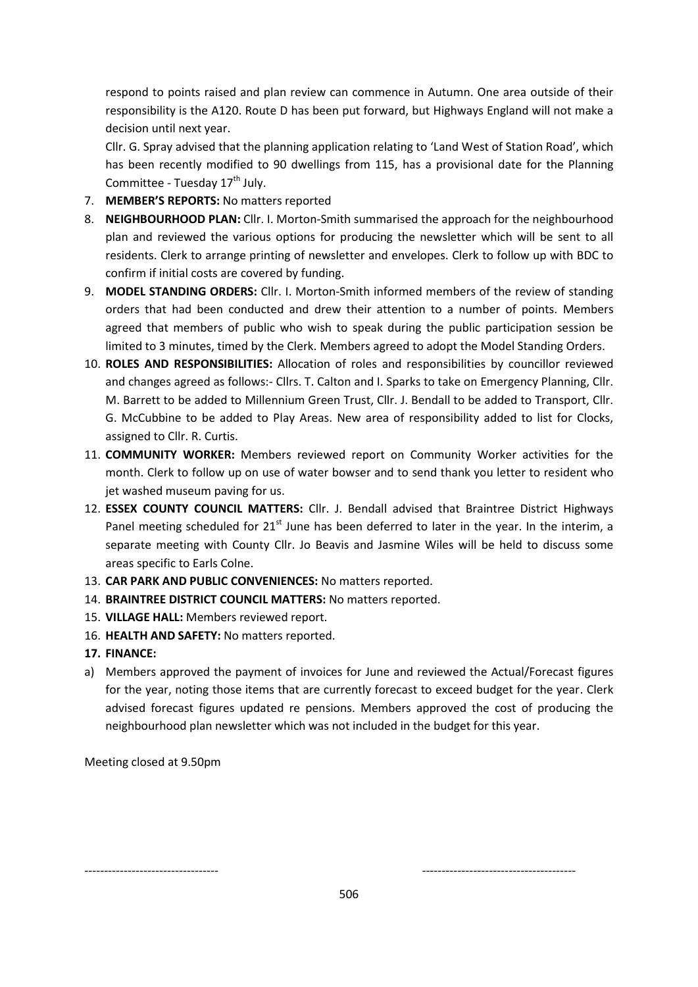respond to points raised and plan review can commence in Autumn. One area outside of their responsibility is the A120. Route D has been put forward, but Highways England will not make a decision until next year.

Cllr. G. Spray advised that the planning application relating to 'Land West of Station Road', which has been recently modified to 90 dwellings from 115, has a provisional date for the Planning Committee - Tuesday  $17<sup>th</sup>$  July.

- 7. **MEMBER'S REPORTS:** No matters reported
- 8. **NEIGHBOURHOOD PLAN:** Cllr. I. Morton-Smith summarised the approach for the neighbourhood plan and reviewed the various options for producing the newsletter which will be sent to all residents. Clerk to arrange printing of newsletter and envelopes. Clerk to follow up with BDC to confirm if initial costs are covered by funding.
- 9. **MODEL STANDING ORDERS:** Cllr. I. Morton-Smith informed members of the review of standing orders that had been conducted and drew their attention to a number of points. Members agreed that members of public who wish to speak during the public participation session be limited to 3 minutes, timed by the Clerk. Members agreed to adopt the Model Standing Orders.
- 10. **ROLES AND RESPONSIBILITIES:** Allocation of roles and responsibilities by councillor reviewed and changes agreed as follows:- Cllrs. T. Calton and I. Sparks to take on Emergency Planning, Cllr. M. Barrett to be added to Millennium Green Trust, Cllr. J. Bendall to be added to Transport, Cllr. G. McCubbine to be added to Play Areas. New area of responsibility added to list for Clocks, assigned to Cllr. R. Curtis.
- 11. **COMMUNITY WORKER:** Members reviewed report on Community Worker activities for the month. Clerk to follow up on use of water bowser and to send thank you letter to resident who jet washed museum paving for us.
- 12. **ESSEX COUNTY COUNCIL MATTERS:** Cllr. J. Bendall advised that Braintree District Highways Panel meeting scheduled for 21<sup>st</sup> June has been deferred to later in the year. In the interim, a separate meeting with County Cllr. Jo Beavis and Jasmine Wiles will be held to discuss some areas specific to Earls Colne.
- 13. **CAR PARK AND PUBLIC CONVENIENCES:** No matters reported.
- 14. **BRAINTREE DISTRICT COUNCIL MATTERS:** No matters reported.
- 15. **VILLAGE HALL:** Members reviewed report.
- 16. **HEALTH AND SAFETY:** No matters reported.
- **17. FINANCE:**
- a) Members approved the payment of invoices for June and reviewed the Actual/Forecast figures for the year, noting those items that are currently forecast to exceed budget for the year. Clerk advised forecast figures updated re pensions. Members approved the cost of producing the neighbourhood plan newsletter which was not included in the budget for this year.

Meeting closed at 9.50pm

---------------------------------- ---------------------------------------